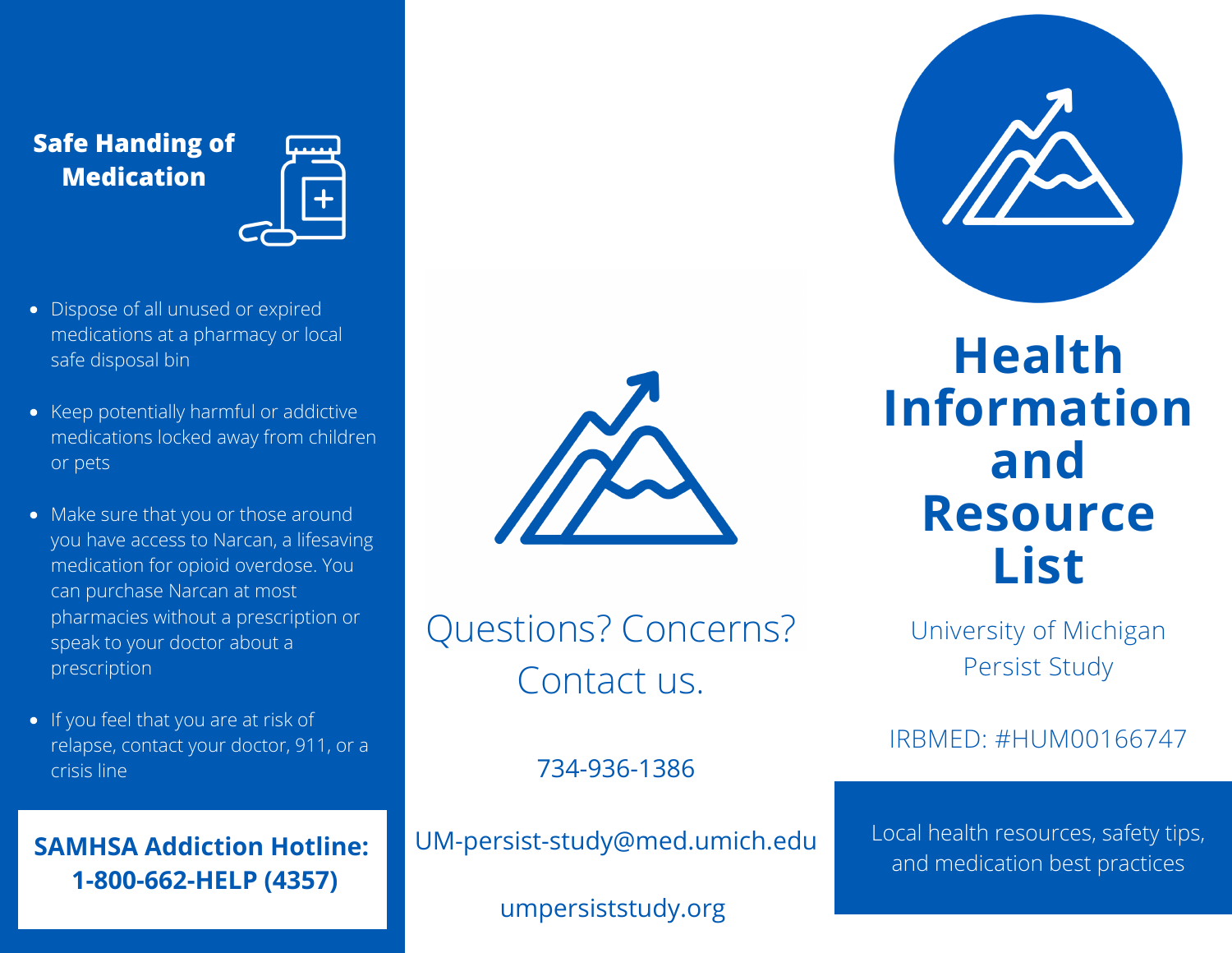## **Safe Handing of Medication**



- Dispose of all unused or expired medications at a pharmacy or local safe disposal bin
- Keep potentially harmful or addictive medications locked away from children or pets
- Make sure that you or those around you have access to Narcan, a lifesaving medication for opioid overdose. You can purchase Narcan at most pharmacies without a prescription or speak to your doctor about a prescription
- If you feel that you are at risk of relapse, contact your doctor, 911, or a crisis line

**SAMHSA Addiction Hotline: 1-800-662-HELP (4357)**



Questions? Concerns? Contact us.

**Health Information and Resource List**

University of Michigan Persist Study

IRBMED: #HUM00166747

734-936-1386

UM-persist-study@med.umich.edu

umpersiststudy.org

Local health resources, safety tips, and medication best practices